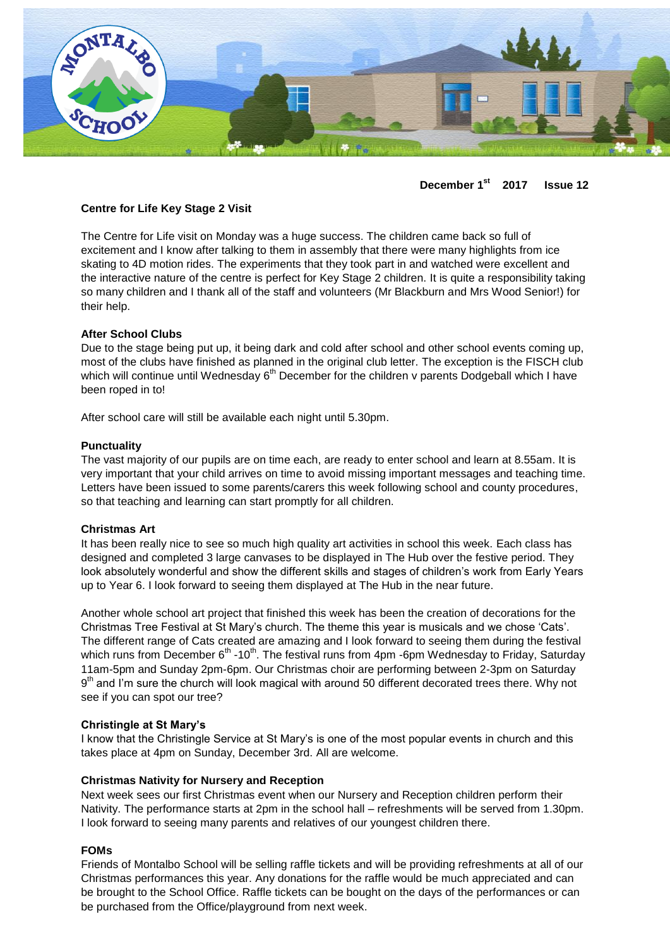

**December 1st 2017 Issue 12**

## **Centre for Life Key Stage 2 Visit**

The Centre for Life visit on Monday was a huge success. The children came back so full of excitement and I know after talking to them in assembly that there were many highlights from ice skating to 4D motion rides. The experiments that they took part in and watched were excellent and the interactive nature of the centre is perfect for Key Stage 2 children. It is quite a responsibility taking so many children and I thank all of the staff and volunteers (Mr Blackburn and Mrs Wood Senior!) for their help.

### **After School Clubs**

Due to the stage being put up, it being dark and cold after school and other school events coming up, most of the clubs have finished as planned in the original club letter. The exception is the FISCH club which will continue until Wednesday  $6<sup>th</sup>$  December for the children v parents Dodgeball which I have been roped in to!

After school care will still be available each night until 5.30pm.

### **Punctuality**

The vast majority of our pupils are on time each, are ready to enter school and learn at 8.55am. It is very important that your child arrives on time to avoid missing important messages and teaching time. Letters have been issued to some parents/carers this week following school and county procedures, so that teaching and learning can start promptly for all children.

### **Christmas Art**

It has been really nice to see so much high quality art activities in school this week. Each class has designed and completed 3 large canvases to be displayed in The Hub over the festive period. They look absolutely wonderful and show the different skills and stages of children's work from Early Years up to Year 6. I look forward to seeing them displayed at The Hub in the near future.

Another whole school art project that finished this week has been the creation of decorations for the Christmas Tree Festival at St Mary's church. The theme this year is musicals and we chose 'Cats'. The different range of Cats created are amazing and I look forward to seeing them during the festival which runs from December  $6<sup>th</sup>$  -10<sup>th</sup>. The festival runs from 4pm -6pm Wednesday to Friday, Saturday 11am-5pm and Sunday 2pm-6pm. Our Christmas choir are performing between 2-3pm on Saturday 9<sup>th</sup> and I'm sure the church will look magical with around 50 different decorated trees there. Why not see if you can spot our tree?

### **Christingle at St Mary's**

I know that the Christingle Service at St Mary's is one of the most popular events in church and this takes place at 4pm on Sunday, December 3rd. All are welcome.

### **Christmas Nativity for Nursery and Reception**

Next week sees our first Christmas event when our Nursery and Reception children perform their Nativity. The performance starts at 2pm in the school hall – refreshments will be served from 1.30pm. I look forward to seeing many parents and relatives of our youngest children there.

## **FOMs**

Friends of Montalbo School will be selling raffle tickets and will be providing refreshments at all of our Christmas performances this year. Any donations for the raffle would be much appreciated and can be brought to the School Office. Raffle tickets can be bought on the days of the performances or can be purchased from the Office/playground from next week.